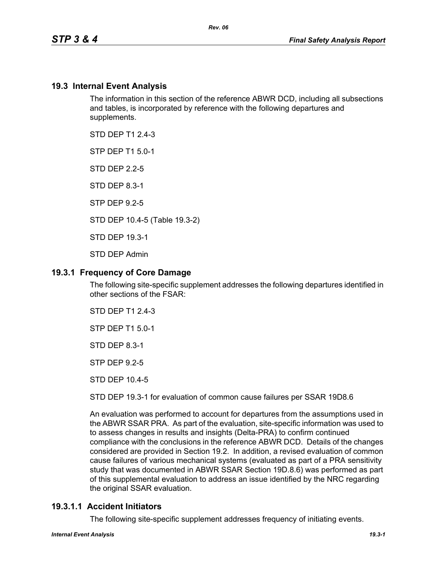# **19.3 Internal Event Analysis**

The information in this section of the reference ABWR DCD, including all subsections and tables, is incorporated by reference with the following departures and supplements.

STD DFP T1 2 4-3

STP DEP T1 5.0-1

STD DEP 2.2-5

STD DEP 8.3-1

STP DEP 9.2-5

STD DEP 10.4-5 (Table 19.3-2)

STD DEP 19.3-1

STD DEP Admin

## **19.3.1 Frequency of Core Damage**

The following site-specific supplement addresses the following departures identified in other sections of the FSAR:

STD DEP T1 2.4-3

STP DEP T1 5.0-1

STD DEP 8.3-1

STP DEP 9.2-5

STD DEP 10.4-5

STD DEP 19.3-1 for evaluation of common cause failures per SSAR 19D8.6

An evaluation was performed to account for departures from the assumptions used in the ABWR SSAR PRA. As part of the evaluation, site-specific information was used to to assess changes in results and insights (Delta-PRA) to confirm continued compliance with the conclusions in the reference ABWR DCD. Details of the changes considered are provided in Section 19.2. In addition, a revised evaluation of common cause failures of various mechanical systems (evaluated as part of a PRA sensitivity study that was documented in ABWR SSAR Section 19D.8.6) was performed as part of this supplemental evaluation to address an issue identified by the NRC regarding the original SSAR evaluation.

## **19.3.1.1 Accident Initiators**

The following site-specific supplement addresses frequency of initiating events.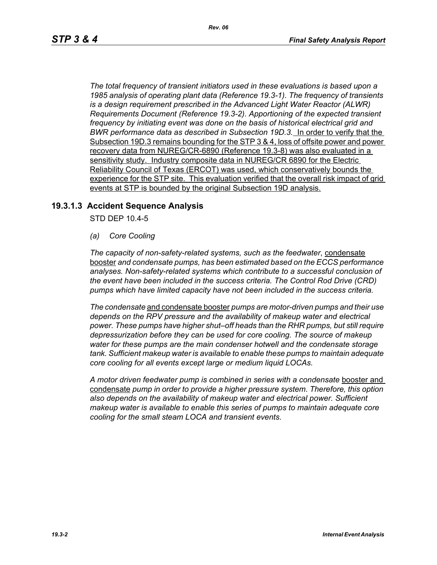*The total frequency of transient initiators used in these evaluations is based upon a 1985 analysis of operating plant data (Reference 19.3-1). The frequency of transients is a design requirement prescribed in the Advanced Light Water Reactor (ALWR) Requirements Document (Reference 19.3-2). Apportioning of the expected transient frequency by initiating event was done on the basis of historical electrical grid and BWR performance data as described in Subsection 19D.3.* In order to verify that the Subsection 19D.3 remains bounding for the STP 3 & 4, loss of offsite power and power recovery data from NUREG/CR-6890 (Reference 19.3-8) was also evaluated in a sensitivity study. Industry composite data in NUREG/CR 6890 for the Electric Reliability Council of Texas (ERCOT) was used, which conservatively bounds the experience for the STP site. This evaluation verified that the overall risk impact of grid events at STP is bounded by the original Subsection 19D analysis.

## **19.3.1.3 Accident Sequence Analysis**

STD DEP 10.4-5

*(a) Core Cooling*

*The capacity of non-safety-related systems, such as the feedwater*, condensate booster *and condensate pumps, has been estimated based on the ECCS performance analyses. Non-safety-related systems which contribute to a successful conclusion of the event have been included in the success criteria. The Control Rod Drive (CRD) pumps which have limited capacity have not been included in the success criteria.*

*The condensate* and condensate booster *pumps are motor-driven pumps and their use depends on the RPV pressure and the availability of makeup water and electrical power. These pumps have higher shut–off heads than the RHR pumps, but still require depressurization before they can be used for core cooling. The source of makeup water for these pumps are the main condenser hotwell and the condensate storage tank. Sufficient makeup water is available to enable these pumps to maintain adequate core cooling for all events except large or medium liquid LOCAs.*

*A motor driven feedwater pump is combined in series with a condensate* booster and condensate *pump in order to provide a higher pressure system. Therefore, this option also depends on the availability of makeup water and electrical power. Sufficient makeup water is available to enable this series of pumps to maintain adequate core cooling for the small steam LOCA and transient events.*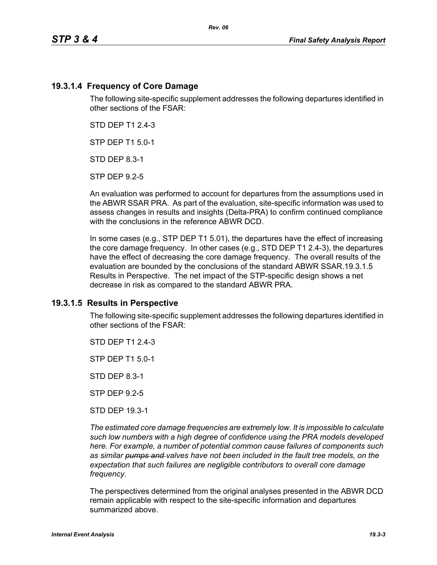# **19.3.1.4 Frequency of Core Damage**

The following site-specific supplement addresses the following departures identified in other sections of the FSAR:

STD DEP T1 2.4-3

STP DEP T1 5.0-1

STD DEP 8.3-1

STP DEP 9.2-5

An evaluation was performed to account for departures from the assumptions used in the ABWR SSAR PRA. As part of the evaluation, site-specific information was used to assess changes in results and insights (Delta-PRA) to confirm continued compliance with the conclusions in the reference ABWR DCD.

In some cases (e.g., STP DEP T1 5.01), the departures have the effect of increasing the core damage frequency. In other cases (e.g., STD DEP T1 2.4-3), the departures have the effect of decreasing the core damage frequency. The overall results of the evaluation are bounded by the conclusions of the standard ABWR SSAR.19.3.1.5 Results in Perspective. The net impact of the STP-specific design shows a net decrease in risk as compared to the standard ABWR PRA.

## **19.3.1.5 Results in Perspective**

The following site-specific supplement addresses the following departures identified in other sections of the FSAR:

STD DFP T1 2 4-3

STP DEP T1 5.0-1

STD DEP 8.3-1

STP DEP 9.2-5

STD DEP 19.3-1

*The estimated core damage frequencies are extremely low. It is impossible to calculate such low numbers with a high degree of confidence using the PRA models developed here. For example, a number of potential common cause failures of components such as similar pumps and valves have not been included in the fault tree models, on the expectation that such failures are negligible contributors to overall core damage frequency.*

The perspectives determined from the original analyses presented in the ABWR DCD remain applicable with respect to the site-specific information and departures summarized above.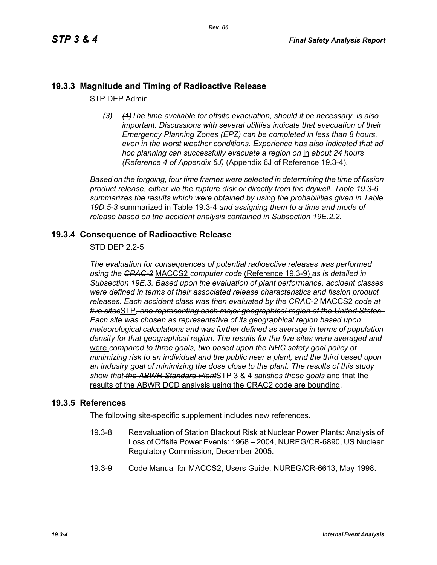# **19.3.3 Magnitude and Timing of Radioactive Release**

STP DEP Admin

*(3) (1)The time available for offsite evacuation, should it be necessary, is also important. Discussions with several utilities indicate that evacuation of their Emergency Planning Zones (EPZ) can be completed in less than 8 hours, even in the worst weather conditions. Experience has also indicated that ad hoc planning can successfully evacuate a region on* in *about 24 hours (Reference 4 of Appendix 6J)* (Appendix 6J of Reference 19.3-4)*.*

*Based on the forgoing, four time frames were selected in determining the time of fission product release, either via the rupture disk or directly from the drywell. Table 19.3-6 summarizes the results which were obtained by using the probabilities given in Table 19D.5-3* summarized in Table 19.3-4 *and assigning them to a time and mode of release based on the accident analysis contained in Subsection 19E.2.2.*

## **19.3.4 Consequence of Radioactive Release**

STD DEP 2.2-5

*The evaluation for consequences of potential radioactive releases was performed using the CRAC-2* MACCS2 *computer code* (Reference 19.3-9) *as is detailed in Subsection 19E.3. Based upon the evaluation of plant performance, accident classes were defined in terms of their associated release characteristics and fission product releases. Each accident class was then evaluated by the CRAC-2* MACCS2 *code at five sites*STP*, one representing each major geographical region of the United States. Each site was chosen as representative of its geographical region based upon meteorological calculations and was further defined as average in terms of population density for that geographical region. The results for the five sites were averaged and*  were *compared to three goals, two based upon the NRC safety goal policy of minimizing risk to an individual and the public near a plant, and the third based upon an industry goal of minimizing the dose close to the plant. The results of this study show that the ABWR Standard Plant*STP 3 & 4 *satisfies these goals* and that the results of the ABWR DCD analysis using the CRAC2 code are bounding.

## **19.3.5 References**

The following site-specific supplement includes new references.

- 19.3-8 Reevaluation of Station Blackout Risk at Nuclear Power Plants: Analysis of Loss of Offsite Power Events: 1968 – 2004, NUREG/CR-6890, US Nuclear Regulatory Commission, December 2005.
- 19.3-9 Code Manual for MACCS2, Users Guide, NUREG/CR-6613, May 1998.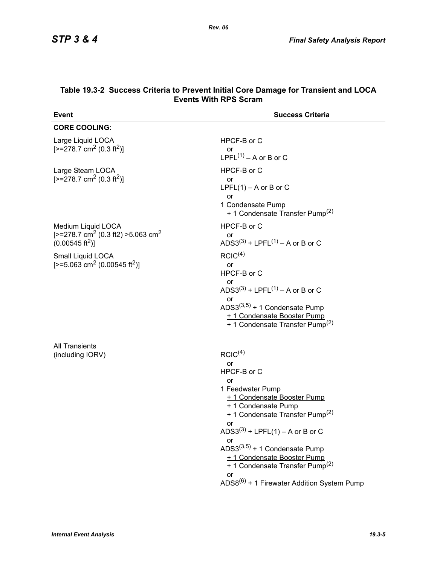| Event                                                                                                                                                                                             | <b>Success Criteria</b>                                                                                                                                                                                                                                                                                                                                                                                              |
|---------------------------------------------------------------------------------------------------------------------------------------------------------------------------------------------------|----------------------------------------------------------------------------------------------------------------------------------------------------------------------------------------------------------------------------------------------------------------------------------------------------------------------------------------------------------------------------------------------------------------------|
| <b>CORE COOLING:</b>                                                                                                                                                                              |                                                                                                                                                                                                                                                                                                                                                                                                                      |
| Large Liquid LOCA<br>$[-278.7 \text{ cm}^2 (0.3 \text{ ft}^2)]$                                                                                                                                   | HPCF-B or C<br>or<br>$LPFL^{(1)} - A$ or B or C                                                                                                                                                                                                                                                                                                                                                                      |
| Large Steam LOCA<br>$[-278.7 \text{ cm}^2 (0.3 \text{ ft}^2)]$                                                                                                                                    | HPCF-B or C<br>or<br>LPFL $(1)$ – A or B or C<br>or<br>1 Condensate Pump<br>+ 1 Condensate Transfer Pump <sup>(2)</sup>                                                                                                                                                                                                                                                                                              |
| Medium Liquid LOCA<br>[ $>=$ 278.7 cm <sup>2</sup> (0.3 ft2) $>=$ 5.063 cm <sup>2</sup><br>$(0.00545 \text{ ft}^2)]$<br>Small Liquid LOCA<br>[>=5.063 cm <sup>2</sup> (0.00545 ft <sup>2</sup> )] | HPCF-B or C<br>or<br>ADS3 <sup>(3)</sup> + LPFL <sup>(1)</sup> – A or B or C<br>RCIC <sup>(4)</sup><br>or<br>HPCF-B or C<br>or<br>ADS3 <sup>(3)</sup> + LPFL <sup>(1)</sup> – A or B or C<br>or<br>ADS3 $(3,5)$ + 1 Condensate Pump<br>+ 1 Condensate Booster Pump<br>+ 1 Condensate Transfer Pump <sup>(2)</sup>                                                                                                    |
| <b>All Transients</b><br>(including IORV)                                                                                                                                                         | RCIC <sup>(4)</sup><br>or<br>HPCF-B or C<br>or<br>1 Feedwater Pump<br>+ 1 Condensate Booster Pump<br>+ 1 Condensate Pump<br>+ 1 Condensate Transfer Pump <sup>(2)</sup><br>or<br>$ADS3^{(3)} + LPFL(1) - A$ or B or C<br>or<br>ADS3 $(3,5)$ + 1 Condensate Pump<br>+ 1 Condensate Booster Pump<br>+ 1 Condensate Transfer Pump <sup>(2)</sup><br><b>or</b><br>ADS8 <sup>(6)</sup> + 1 Firewater Addition System Pump |

#### **Table 19.3-2 Success Criteria to Prevent Initial Core Damage for Transient and LOCA Events With RPS Scram**

*Rev. 06*